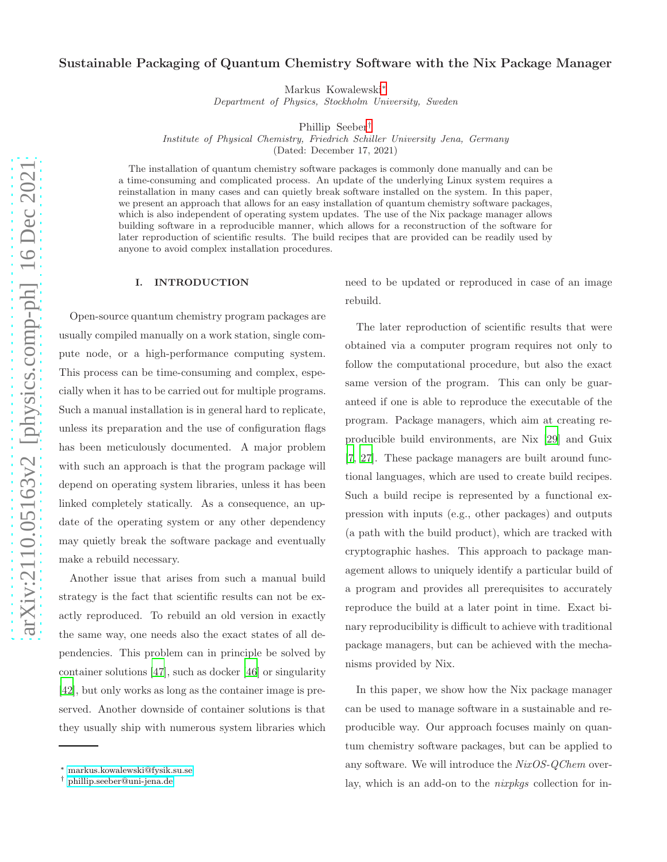# Sustainable Packaging of Quantum Chemistry Software with the Nix Package Manager

Markus Kowalewski[∗](#page-0-0)

*Department of Physics, Stockholm University, Sweden*

Phillip Seeber[†](#page-0-1)

*Institute of Physical Chemistry, Friedrich Schiller University Jena, Germany*

(Dated: December 17, 2021)

The installation of quantum chemistry software packages is commonly done manually and can be a time-consuming and complicated process. An update of the underlying Linux system requires a reinstallation in many cases and can quietly break software installed on the system. In this paper, we present an approach that allows for an easy installation of quantum chemistry software packages, which is also independent of operating system updates. The use of the Nix package manager allows building software in a reproducible manner, which allows for a reconstruction of the software for later reproduction of scientific results. The build recipes that are provided can be readily used by anyone to avoid complex installation procedures.

#### I. INTRODUCTION

Open-source quantum chemistry program packages are usually compiled manually on a work station, single compute node, or a high-performance computing system. This process can be time-consuming and complex, especially when it has to be carried out for multiple programs. Such a manual installation is in general hard to replicate, unless its preparation and the use of configuration flags has been meticulously documented. A major problem with such an approach is that the program package will depend on operating system libraries, unless it has been linked completely statically. As a consequence, an update of the operating system or any other dependency may quietly break the software package and eventually make a rebuild necessary.

Another issue that arises from such a manual build strategy is the fact that scientific results can not be exactly reproduced. To rebuild an old version in exactly the same way, one needs also the exact states of all dependencies. This problem can in principle be solved by container solutions [\[47\]](#page-13-0), such as docker [\[46](#page-13-1)] or singularity [\[42\]](#page-13-2), but only works as long as the container image is preserved. Another downside of container solutions is that they usually ship with numerous system libraries which need to be updated or reproduced in case of an image rebuild.

The later reproduction of scientific results that were obtained via a computer program requires not only to follow the computational procedure, but also the exact same version of the program. This can only be guaranteed if one is able to reproduce the executable of the program. Package managers, which aim at creating reproducible build environments, are Nix [\[29](#page-11-0)] and Guix [\[7,](#page-10-0) [27](#page-11-1)]. These package managers are built around functional languages, which are used to create build recipes. Such a build recipe is represented by a functional expression with inputs (e.g., other packages) and outputs (a path with the build product), which are tracked with cryptographic hashes. This approach to package management allows to uniquely identify a particular build of a program and provides all prerequisites to accurately reproduce the build at a later point in time. Exact binary reproducibility is difficult to achieve with traditional package managers, but can be achieved with the mechanisms provided by Nix.

In this paper, we show how the Nix package manager can be used to manage software in a sustainable and reproducible way. Our approach focuses mainly on quantum chemistry software packages, but can be applied to any software. We will introduce the NixOS-QChem overlay, which is an add-on to the *nixpkgs* collection for in-

<span id="page-0-0"></span><sup>∗</sup> [markus.kowalewski@fysik.su.se](mailto:markus.kowalewski@fysik.su.se)

<span id="page-0-1"></span><sup>†</sup> [phillip.seeber@uni-jena.de](mailto:phillip.seeber@uni-jena.de)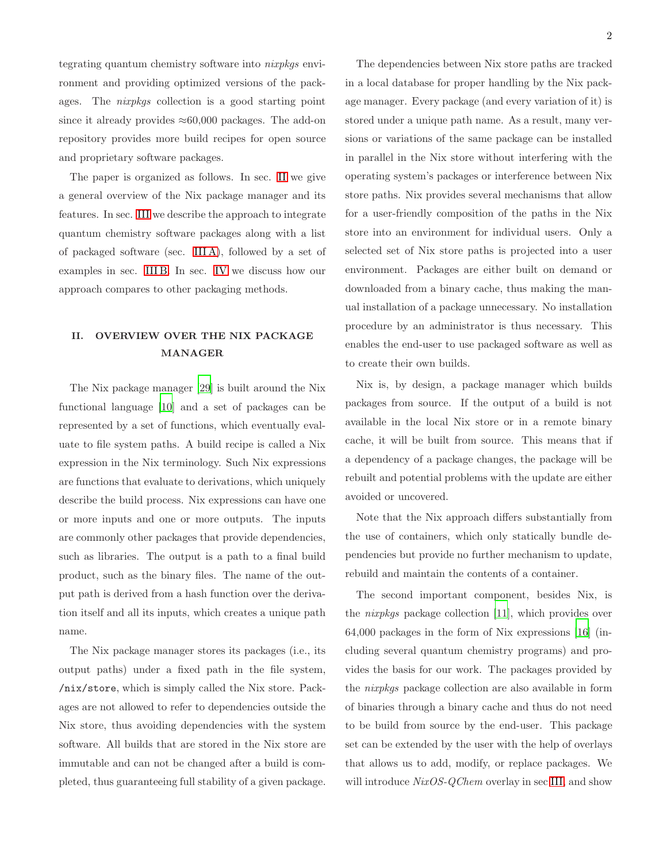tegrating quantum chemistry software into nixpkgs environment and providing optimized versions of the packages. The nixpkgs collection is a good starting point since it already provides  $\approx 60,000$  packages. The add-on repository provides more build recipes for open source and proprietary software packages.

The paper is organized as follows. In sec. [II](#page-1-0) we give a general overview of the Nix package manager and its features. In sec. [III](#page-2-0) we describe the approach to integrate quantum chemistry software packages along with a list of packaged software (sec. [III A\)](#page-4-0), followed by a set of examples in sec. [III B.](#page-4-1) In sec. [IV](#page-7-0) we discuss how our approach compares to other packaging methods.

# <span id="page-1-0"></span>II. OVERVIEW OVER THE NIX PACKAGE MANAGER

The Nix package manager [\[29](#page-11-0)] is built around the Nix functional language [\[10](#page-10-1)] and a set of packages can be represented by a set of functions, which eventually evaluate to file system paths. A build recipe is called a Nix expression in the Nix terminology. Such Nix expressions are functions that evaluate to derivations, which uniquely describe the build process. Nix expressions can have one or more inputs and one or more outputs. The inputs are commonly other packages that provide dependencies, such as libraries. The output is a path to a final build product, such as the binary files. The name of the output path is derived from a hash function over the derivation itself and all its inputs, which creates a unique path name.

The Nix package manager stores its packages (i.e., its output paths) under a fixed path in the file system, /nix/store, which is simply called the Nix store. Packages are not allowed to refer to dependencies outside the Nix store, thus avoiding dependencies with the system software. All builds that are stored in the Nix store are immutable and can not be changed after a build is completed, thus guaranteeing full stability of a given package.

The dependencies between Nix store paths are tracked in a local database for proper handling by the Nix package manager. Every package (and every variation of it) is stored under a unique path name. As a result, many versions or variations of the same package can be installed in parallel in the Nix store without interfering with the operating system's packages or interference between Nix store paths. Nix provides several mechanisms that allow for a user-friendly composition of the paths in the Nix store into an environment for individual users. Only a selected set of Nix store paths is projected into a user environment. Packages are either built on demand or downloaded from a binary cache, thus making the manual installation of a package unnecessary. No installation procedure by an administrator is thus necessary. This enables the end-user to use packaged software as well as to create their own builds.

Nix is, by design, a package manager which builds packages from source. If the output of a build is not available in the local Nix store or in a remote binary cache, it will be built from source. This means that if a dependency of a package changes, the package will be rebuilt and potential problems with the update are either avoided or uncovered.

Note that the Nix approach differs substantially from the use of containers, which only statically bundle dependencies but provide no further mechanism to update, rebuild and maintain the contents of a container.

The second important component, besides Nix, is the nixpkgs package collection [\[11\]](#page-10-2), which provides over 64,000 packages in the form of Nix expressions [\[16\]](#page-10-3) (including several quantum chemistry programs) and provides the basis for our work. The packages provided by the nixpkgs package collection are also available in form of binaries through a binary cache and thus do not need to be build from source by the end-user. This package set can be extended by the user with the help of overlays that allows us to add, modify, or replace packages. We will introduce NixOS-QChem overlay in sec [III,](#page-2-0) and show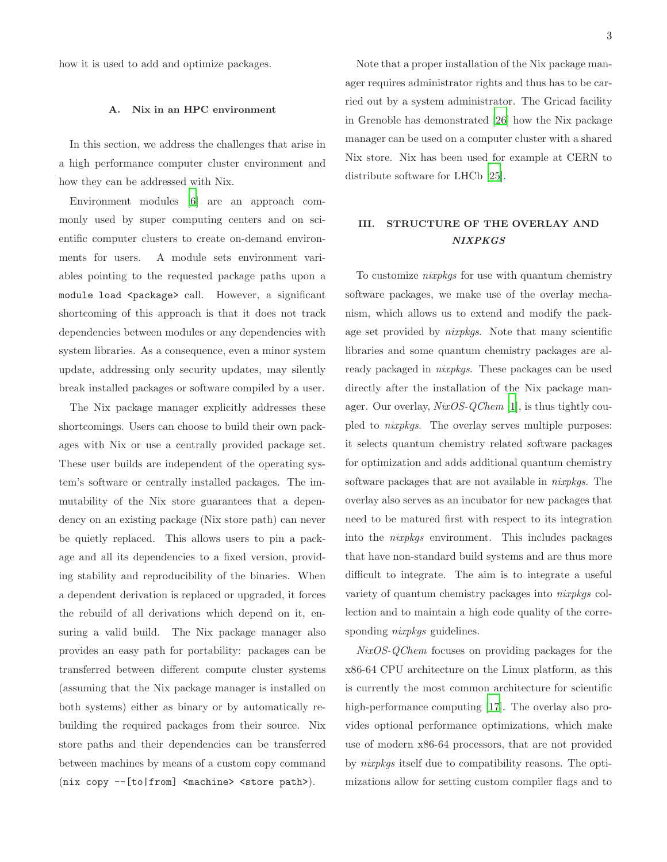how it is used to add and optimize packages.

## A. Nix in an HPC environment

In this section, we address the challenges that arise in a high performance computer cluster environment and how they can be addressed with Nix.

Environment modules [\[6\]](#page-10-4) are an approach commonly used by super computing centers and on scientific computer clusters to create on-demand environments for users. A module sets environment variables pointing to the requested package paths upon a module load <package> call. However, a significant shortcoming of this approach is that it does not track dependencies between modules or any dependencies with system libraries. As a consequence, even a minor system update, addressing only security updates, may silently break installed packages or software compiled by a user.

The Nix package manager explicitly addresses these shortcomings. Users can choose to build their own packages with Nix or use a centrally provided package set. These user builds are independent of the operating system's software or centrally installed packages. The immutability of the Nix store guarantees that a dependency on an existing package (Nix store path) can never be quietly replaced. This allows users to pin a package and all its dependencies to a fixed version, providing stability and reproducibility of the binaries. When a dependent derivation is replaced or upgraded, it forces the rebuild of all derivations which depend on it, ensuring a valid build. The Nix package manager also provides an easy path for portability: packages can be transferred between different compute cluster systems (assuming that the Nix package manager is installed on both systems) either as binary or by automatically rebuilding the required packages from their source. Nix store paths and their dependencies can be transferred between machines by means of a custom copy command (nix copy --[to|from] <machine> <store path>).

Note that a proper installation of the Nix package manager requires administrator rights and thus has to be carried out by a system administrator. The Gricad facility in Grenoble has demonstrated [\[26\]](#page-11-2) how the Nix package manager can be used on a computer cluster with a shared Nix store. Nix has been used for example at CERN to distribute software for LHCb [\[25](#page-11-3)].

# <span id="page-2-0"></span>III. STRUCTURE OF THE OVERLAY AND NIXPKGS

To customize nixpkgs for use with quantum chemistry software packages, we make use of the overlay mechanism, which allows us to extend and modify the package set provided by nixpkgs. Note that many scientific libraries and some quantum chemistry packages are already packaged in nixpkgs. These packages can be used directly after the installation of the Nix package manager. Our overlay, *NixOS-QChem* [\[1](#page-10-5)], is thus tightly coupled to nixpkgs. The overlay serves multiple purposes: it selects quantum chemistry related software packages for optimization and adds additional quantum chemistry software packages that are not available in *nixpkgs*. The overlay also serves as an incubator for new packages that need to be matured first with respect to its integration into the nixpkgs environment. This includes packages that have non-standard build systems and are thus more difficult to integrate. The aim is to integrate a useful variety of quantum chemistry packages into nixpkgs collection and to maintain a high code quality of the corresponding *nixpkgs* guidelines.

NixOS-QChem focuses on providing packages for the x86-64 CPU architecture on the Linux platform, as this is currently the most common architecture for scientific high-performance computing [\[17\]](#page-10-6). The overlay also provides optional performance optimizations, which make use of modern x86-64 processors, that are not provided by nixpkgs itself due to compatibility reasons. The optimizations allow for setting custom compiler flags and to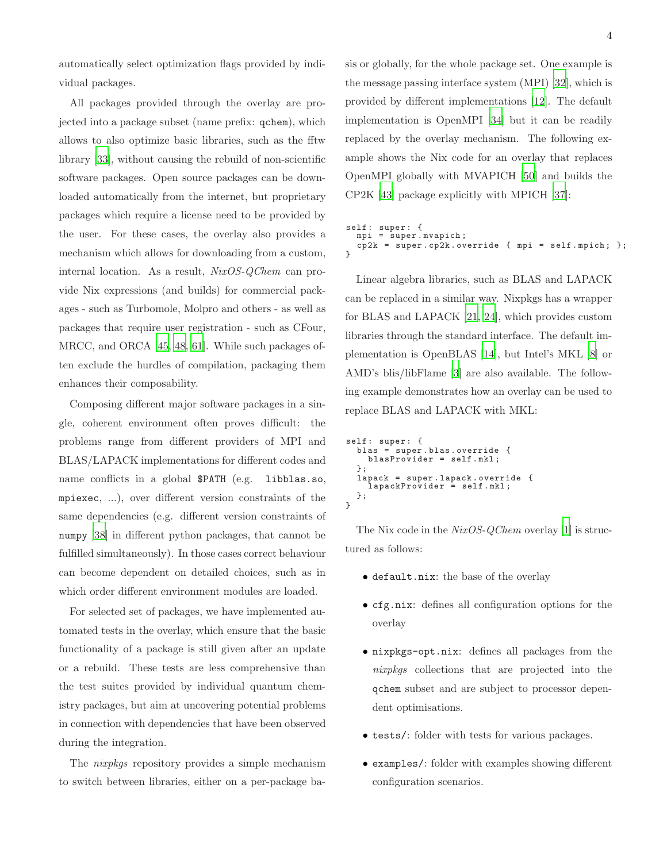automatically select optimization flags provided by individual packages.

All packages provided through the overlay are projected into a package subset (name prefix: qchem), which allows to also optimize basic libraries, such as the fftw library [\[33](#page-12-0)], without causing the rebuild of non-scientific software packages. Open source packages can be downloaded automatically from the internet, but proprietary packages which require a license need to be provided by the user. For these cases, the overlay also provides a mechanism which allows for downloading from a custom, internal location. As a result, NixOS-QChem can provide Nix expressions (and builds) for commercial packages - such as Turbomole, Molpro and others - as well as packages that require user registration - such as CFour, MRCC, and ORCA [\[45,](#page-13-3) [48,](#page-13-4) [61](#page-14-0)]. While such packages often exclude the hurdles of compilation, packaging them enhances their composability.

Composing different major software packages in a single, coherent environment often proves difficult: the problems range from different providers of MPI and BLAS/LAPACK implementations for different codes and name conflicts in a global \$PATH (e.g. libblas.so, mpiexec, ...), over different version constraints of the same dependencies (e.g. different version constraints of numpy [\[38\]](#page-12-1) in different python packages, that cannot be fulfilled simultaneously). In those cases correct behaviour can become dependent on detailed choices, such as in which order different environment modules are loaded.

For selected set of packages, we have implemented automated tests in the overlay, which ensure that the basic functionality of a package is still given after an update or a rebuild. These tests are less comprehensive than the test suites provided by individual quantum chemistry packages, but aim at uncovering potential problems in connection with dependencies that have been observed during the integration.

The nixpkgs repository provides a simple mechanism to switch between libraries, either on a per-package basis or globally, for the whole package set. One example is the message passing interface system (MPI) [\[32\]](#page-12-2), which is provided by different implementations [\[12](#page-10-7)]. The default implementation is OpenMPI [\[34\]](#page-12-3) but it can be readily replaced by the overlay mechanism. The following example shows the Nix code for an overlay that replaces OpenMPI globally with MVAPICH [\[50\]](#page-13-5) and builds the CP2K [\[43\]](#page-13-6) package explicitly with MPICH [\[37\]](#page-12-4):

```
self: super: {
 mpi = super.mvapich;cp2k = super . cp2k . override { mpi = self . mpich ; };
}
```
Linear algebra libraries, such as BLAS and LAPACK can be replaced in a similar way. Nixpkgs has a wrapper for BLAS and LAPACK [\[21,](#page-11-4) [24\]](#page-11-5), which provides custom libraries through the standard interface. The default implementation is OpenBLAS [\[14\]](#page-10-8), but Intel's MKL [\[8\]](#page-10-9) or AMD's blis/libFlame [\[3\]](#page-10-10) are also available. The following example demonstrates how an overlay can be used to replace BLAS and LAPACK with MKL:

```
self: super: {
  blas = super . blas . override {
     blasProvider = self . mkl ;
  };
   lapack = super . lapack . override {
lapackProvider = self . mkl ;
  };
}
```
The Nix code in the  $NixOS\text{-}QChem$  overlay [\[1\]](#page-10-5) is structured as follows:

- default.nix: the base of the overlay
- cfg.nix: defines all configuration options for the overlay
- nixpkgs-opt.nix: defines all packages from the nixpkgs collections that are projected into the qchem subset and are subject to processor dependent optimisations.
- tests/: folder with tests for various packages.
- examples/: folder with examples showing different configuration scenarios.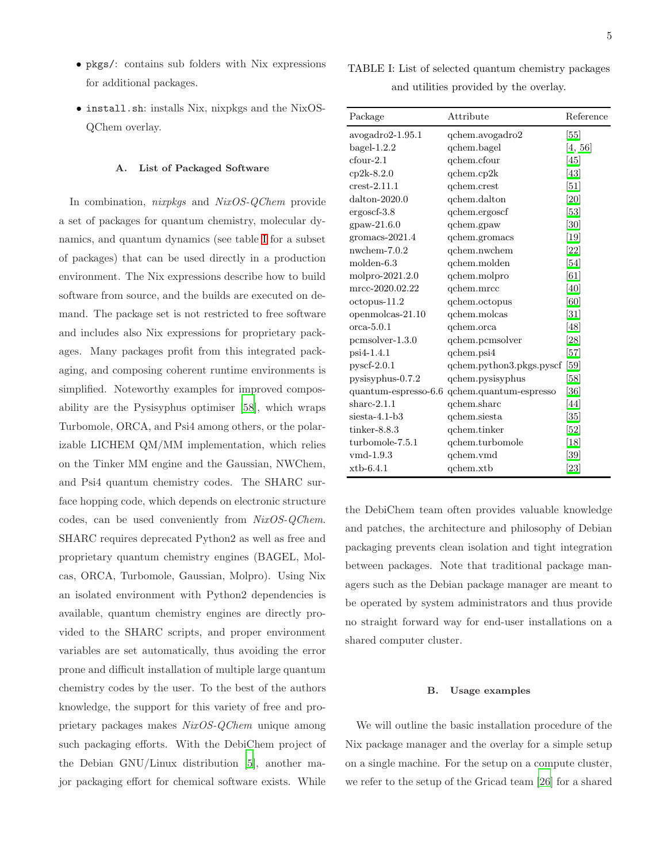- pkgs/: contains sub folders with Nix expressions for additional packages.
- install.sh: installs Nix, nixpkgs and the NixOS-QChem overlay.

## <span id="page-4-0"></span>A. List of Packaged Software

In combination, nixpkgs and NixOS-QChem provide a set of packages for quantum chemistry, molecular dynamics, and quantum dynamics (see table [I](#page-4-2) for a subset of packages) that can be used directly in a production environment. The Nix expressions describe how to build software from source, and the builds are executed on demand. The package set is not restricted to free software and includes also Nix expressions for proprietary packages. Many packages profit from this integrated packaging, and composing coherent runtime environments is simplified. Noteworthy examples for improved composability are the Pysisyphus optimiser [\[58](#page-14-1)], which wraps Turbomole, ORCA, and Psi4 among others, or the polarizable LICHEM QM/MM implementation, which relies on the Tinker MM engine and the Gaussian, NWChem, and Psi4 quantum chemistry codes. The SHARC surface hopping code, which depends on electronic structure codes, can be used conveniently from NixOS-QChem. SHARC requires deprecated Python2 as well as free and proprietary quantum chemistry engines (BAGEL, Molcas, ORCA, Turbomole, Gaussian, Molpro). Using Nix an isolated environment with Python2 dependencies is available, quantum chemistry engines are directly provided to the SHARC scripts, and proper environment variables are set automatically, thus avoiding the error prone and difficult installation of multiple large quantum chemistry codes by the user. To the best of the authors knowledge, the support for this variety of free and proprietary packages makes NixOS-QChem unique among such packaging efforts. With the DebiChem project of the Debian GNU/Linux distribution [\[5](#page-10-11)], another major packaging effort for chemical software exists. While

<span id="page-4-2"></span>TABLE I: List of selected quantum chemistry packages and utilities provided by the overlay.

| Package               | Attribute                | Reference                    |
|-----------------------|--------------------------|------------------------------|
| avogadro2-1.95.1      | qchem.avogadro2          | [55]                         |
| $bagel-1.2.2$         | qchem.bagel              | [4, 56]                      |
| $c$ four- $2.1$       | qchem.cfour              | <sup>[45]</sup>              |
| $cp2k-8.2.0$          | qchem.cp2k               | $[43]$                       |
| $\text{crest-}2.11.1$ | qchem.crest              | [51]                         |
| $d$ alton-2020.0      | qchem.dalton             | $\left[20\right]$            |
| ergoscf-3.8           | qchem.ergoscf            | [53]                         |
| $_{\rm{g}paw-21.6.0}$ | qchem.gpaw               | [30]                         |
| gromacs- $2021.4$     | qchem.gromacs            | $\left\lceil 19\right\rceil$ |
| $n$ wchem-7. $0.2$    | qchem.nwchem             | [22]                         |
| molden-6.3            | qchem.molden             | $[54]$                       |
| molpro-2021.2.0       | qchem.molpro             | [61]                         |
| mrcc-2020.02.22       | qchem.mrcc               | <sup>[40]</sup>              |
| $octopus-11.2$        | qchem.octopus            | [60]                         |
| openmolcas-21.10      | qchem.molcas             | $\left[31\right]$            |
| $_{\rm orca-5.0.1}$   | qchem.orca               | [48]                         |
| $pcmsolver-1.3.0$     | qchem.pcmsolver          | $\left[ 28\right]$           |
| psi4-1.4.1            | qchem.psi4               | $[57]$                       |
| $pyscf-2.0.1$         | qchem.python3.pkgs.pyscf | [59]                         |
| pysisyphus-0.7.2      | qchem.pysisyphus         | [58]                         |
| quantum-espresso-6.6  | qchem.quantum-espresso   | [36]                         |
| $share-2.1.1$         | qchem.sharc              | [44]                         |
| $siesta-4.1-b3$       | qchem.siesta             | [35]                         |
| $tinker-8.8.3$        | qchem.tinker             | $\left[52\right]$            |
| turbomole-7.5.1       | qchem.turbomole          | $[18]$                       |
| $vmd-1.9.3$           | qchem.vmd                | [39]                         |
| $\mathbf{x}$ tb-6.4.1 | qchem.xtb                | [23]                         |

the DebiChem team often provides valuable knowledge and patches, the architecture and philosophy of Debian packaging prevents clean isolation and tight integration between packages. Note that traditional package managers such as the Debian package manager are meant to be operated by system administrators and thus provide no straight forward way for end-user installations on a shared computer cluster.

#### <span id="page-4-1"></span>B. Usage examples

We will outline the basic installation procedure of the Nix package manager and the overlay for a simple setup on a single machine. For the setup on a compute cluster, we refer to the setup of the Gricad team [\[26\]](#page-11-2) for a shared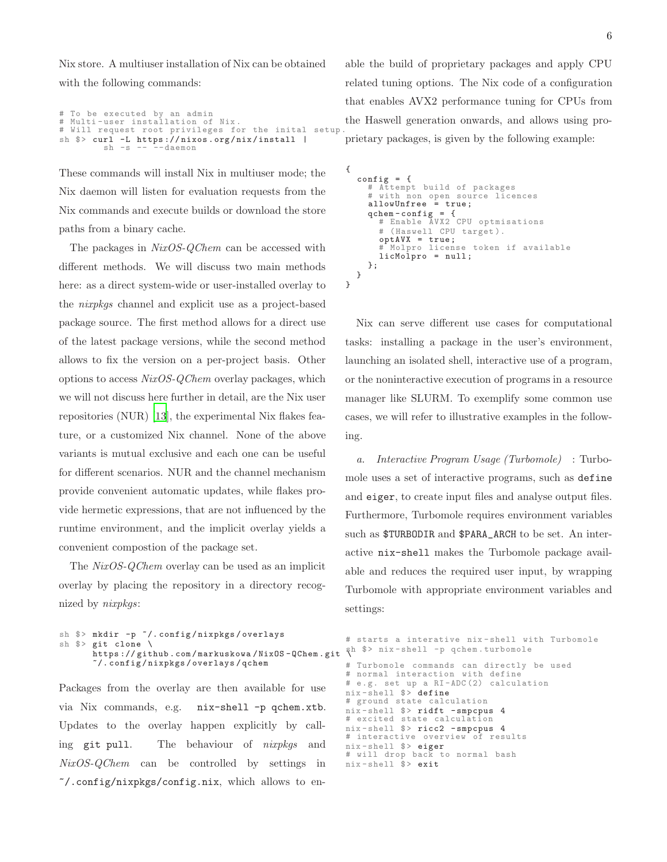Nix store. A multiuser installation of Nix can be obtained with the following commands:

```
# To be executed by an admin
# Multi - user installation of Nix .
# Will request root privileges for the inital setup
sh $> curl -L https://nixos.org/nix/install |<br>sh -s -- --daemon
```
These commands will install Nix in multiuser mode; the Nix daemon will listen for evaluation requests from the Nix commands and execute builds or download the store paths from a binary cache.

The packages in  $NixOS-QChem$  can be accessed with different methods. We will discuss two main methods here: as a direct system-wide or user-installed overlay to the nixpkgs channel and explicit use as a project-based package source. The first method allows for a direct use of the latest package versions, while the second method allows to fix the version on a per-project basis. Other options to access NixOS-QChem overlay packages, which we will not discuss here further in detail, are the Nix user repositories (NUR) [\[13\]](#page-10-16), the experimental Nix flakes feature, or a customized Nix channel. None of the above variants is mutual exclusive and each one can be useful for different scenarios. NUR and the channel mechanism provide convenient automatic updates, while flakes provide hermetic expressions, that are not influenced by the runtime environment, and the implicit overlay yields a convenient compostion of the package set.

The NixOS-QChem overlay can be used as an implicit overlay by placing the repository in a directory recognized by nixpkgs:

```
sh $> mkdir -p ~/.config/nixpkgs/overlays
sh $> git clone \
       https :// github . com / markuskowa / NixOS - QChem . git \
sh $> nix - shell -p qchem . turbomole
       ~/. config / nixpkgs / overlays / qchem
```
Packages from the overlay are then available for use via Nix commands, e.g. nix-shell -p qchem.xtb. Updates to the overlay happen explicitly by calling git pull. The behaviour of *nixpkqs* and NixOS-QChem can be controlled by settings in  $\gamma$ .config/nixpkgs/config.nix, which allows to enable the build of proprietary packages and apply CPU related tuning options. The Nix code of a configuration that enables AVX2 performance tuning for CPUs from the Haswell generation onwards, and allows using proprietary packages, is given by the following example:

```
{
    config = {
        # Attempt build of packages
# with non open source licences
allowUnfree = true ;
        qchem - config = {
# Enable AVX2 CPU optmisations
           # (Haswell CPU target).
           optAVX = true ;
# Molpro license token if available
licMolpro = null ;
       };
   }
}
```
Nix can serve different use cases for computational tasks: installing a package in the user's environment, launching an isolated shell, interactive use of a program, or the noninteractive execution of programs in a resource manager like SLURM. To exemplify some common use cases, we will refer to illustrative examples in the following.

a. Interactive Program Usage (Turbomole) : Turbomole uses a set of interactive programs, such as define and eiger, to create input files and analyse output files. Furthermore, Turbomole requires environment variables such as \$TURBODIR and \$PARA\_ARCH to be set. An interactive nix-shell makes the Turbomole package available and reduces the required user input, by wrapping Turbomole with appropriate environment variables and settings:

# starts a interative nix - shell with Turbomole # Turbomole commands can directly be used # normal interaction with define # e .g. set up a RI - ADC (2) calculation nix-shell \$> define # ground state calculation  $nix$ -shell  $\hat{P}$  ridft - smpcpus 4 # excited state calculation nix-shell \$> ricc2 - smpcpus 4<br># interactive overview of results # interactive overview nix-shell \$> eiger # will drop back to normal bash nix-shell \$> exit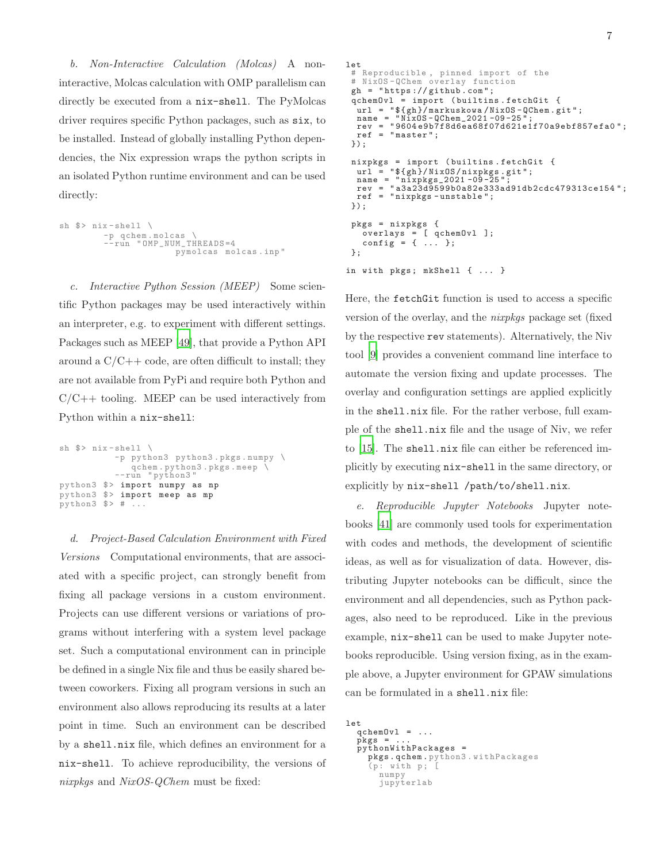b. Non-Interactive Calculation (Molcas) A noninteractive, Molcas calculation with OMP parallelism can directly be executed from a nix-shell. The PyMolcas driver requires specific Python packages, such as six, to be installed. Instead of globally installing Python dependencies, the Nix expression wraps the python scripts in an isolated Python runtime environment and can be used directly:

```
sh \frac{1}{2} nix-shell \
            -p qchem . molcas \
--run " OMP_NUM_THREADS =4
                                pymolcas molcas . inp "
```
c. Interactive Python Session (MEEP) Some scientific Python packages may be used interactively within an interpreter, e.g. to experiment with different settings. Packages such as MEEP [\[49](#page-13-12)], that provide a Python API around a  $C/C++$  code, are often difficult to install; they are not available from PyPi and require both Python and  $C/C++$  tooling. MEEP can be used interactively from Python within a nix-shell:

```
sh \frac{1}{2} nix-shell \
            -p python3 python3 . pkgs . numpy \
             qchem . python3 . pkgs . meep \
-- run " python3 "
python3 $> import numpy as np
python3 $> import meep as mp
python3 $> # ...
```
d. Project-Based Calculation Environment with Fixed Versions Computational environments, that are associated with a specific project, can strongly benefit from fixing all package versions in a custom environment. Projects can use different versions or variations of programs without interfering with a system level package set. Such a computational environment can in principle be defined in a single Nix file and thus be easily shared between coworkers. Fixing all program versions in such an environment also allows reproducing its results at a later point in time. Such an environment can be described by a shell.nix file, which defines an environment for a nix-shell. To achieve reproducibility, the versions of nixpkqs and NixOS-QChem must be fixed:

```
let
 # Reproducible , pinned import of the
 # NixOS - QChem overlay function
 gh = "https://github.com";qchemOvl = import ( builtins . fetchGit {
   url = "${ gh }/ markuskowa / NixOS - QChem . git " ;
name = " NixOS - QChem_2021 -09 -25 " ;
  rev = " 9604 e9b7f8d6ea68f07d621e1f70a9ebf857efa0 ";
  ref = "master";});
 nixpkgs = import ( builtins . fetchGit {
   url = "${ gh }/ NixOS / nixpkgs . git " ;
name = " nixpkgs_2021 -09 -25 ";
rev = " a3a23d9599b0a82e333ad91db2cdc479313ce154 ";
  ref = " nixpkgs - unstable ";
 });
 pkgs = nixpkgs {
    overlays = [ qchemOvl ];
    config = { ... };
 };
in with pkgs; mkShell { ... }
```
Here, the fetchGit function is used to access a specific version of the overlay, and the nixpkgs package set (fixed by the respective rev statements). Alternatively, the Niv tool [\[9\]](#page-10-17) provides a convenient command line interface to automate the version fixing and update processes. The overlay and configuration settings are applied explicitly in the shell.nix file. For the rather verbose, full example of the shell.nix file and the usage of Niv, we refer to [\[15\]](#page-10-18). The shell.nix file can either be referenced implicitly by executing nix-shell in the same directory, or explicitly by nix-shell /path/to/shell.nix.

e. Reproducible Jupyter Notebooks Jupyter notebooks [\[41](#page-13-13)] are commonly used tools for experimentation with codes and methods, the development of scientific ideas, as well as for visualization of data. However, distributing Jupyter notebooks can be difficult, since the environment and all dependencies, such as Python packages, also need to be reproduced. Like in the previous example, nix-shell can be used to make Jupyter notebooks reproducible. Using version fixing, as in the example above, a Jupyter environment for GPAW simulations can be formulated in a shell.nix file:

let  $qchemOvl = ...$  $pkgs =$ pythonWithPackages = pkgs . qchem . python3 . withPackages  $(p:$  with  $p$ ;  $[$ numpy jupyterlab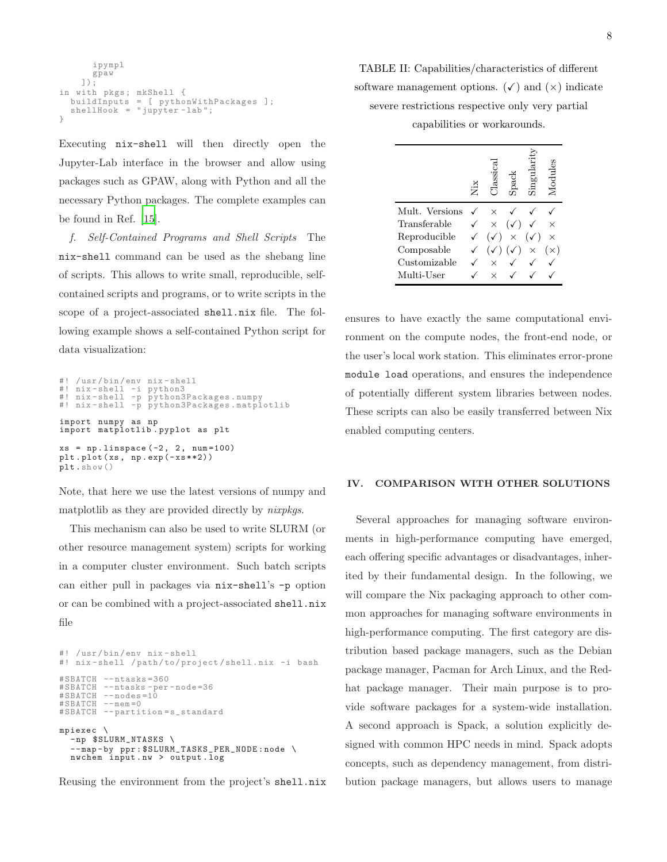```
ipympl
      gpaw
    ]);
in with pkgs; mkShell {
 buildInputs = [ pythonWithPackages ];
  shellHook = "jupyter-lab";
}
```
Executing nix-shell will then directly open the Jupyter-Lab interface in the browser and allow using packages such as GPAW, along with Python and all the necessary Python packages. The complete examples can be found in Ref. [\[15\]](#page-10-18).

f. Self-Contained Programs and Shell Scripts The nix-shell command can be used as the shebang line of scripts. This allows to write small, reproducible, selfcontained scripts and programs, or to write scripts in the scope of a project-associated shell.nix file. The following example shows a self-contained Python script for data visualization:

```
#! / usr / bin / env nix - shell
#! nix - shell -i python3
#! nix - shell -p python3Packages . numpy
#! nix - shell -p python3Packages . matplotlib
import numpy as np
import matplotlib . pyplot as plt
xs = npu1inspace (-2, 2, num=100)plt.plot(xs, np.exp(-xs**2))
plt.show()
```
Note, that here we use the latest versions of numpy and matplotlib as they are provided directly by *nixpkgs*.

This mechanism can also be used to write SLURM (or other resource management system) scripts for working in a computer cluster environment. Such batch scripts can either pull in packages via nix-shell's -p option or can be combined with a project-associated shell.nix file

```
#! / usr / bin / env nix - shell
#! nix-shell / path/to/project/shell.nix -i bash
# SBATCH -- ntasks =360
# SBATCH --ntasks - per - node =36
#SBATCH --nodes =10
# SBATCH --mem = 0
# SBATCH -- partition = s_standard
mpiexec \
  - np $SLURM_NTASKS \
  --map-by ppr: $SLURM_TASKS_PER_NODE:node \
  nwchem input . nw > output . log
```
Reusing the environment from the project's shell.nix

TABLE II: Capabilities/characteristics of different software management options.  $(\checkmark)$  and  $(\checkmark)$  indicate severe restrictions respective only very partial

capabilities or workarounds.

|                | ić. |                |          | Modul |
|----------------|-----|----------------|----------|-------|
| Mult. Versions |     |                |          |       |
| Transferable   | X   |                |          |       |
| Reproducible   |     | $\times$       |          |       |
| Composable     |     | $\checkmark$ ) | $\times$ |       |
| Customizable   |     |                |          |       |
| Multi-User     |     |                |          |       |

ensures to have exactly the same computational environment on the compute nodes, the front-end node, or the user's local work station. This eliminates error-prone module load operations, and ensures the independence of potentially different system libraries between nodes. These scripts can also be easily transferred between Nix enabled computing centers.

# <span id="page-7-0"></span>IV. COMPARISON WITH OTHER SOLUTIONS

Several approaches for managing software environments in high-performance computing have emerged, each offering specific advantages or disadvantages, inherited by their fundamental design. In the following, we will compare the Nix packaging approach to other common approaches for managing software environments in high-performance computing. The first category are distribution based package managers, such as the Debian package manager, Pacman for Arch Linux, and the Redhat package manager. Their main purpose is to provide software packages for a system-wide installation. A second approach is Spack, a solution explicitly designed with common HPC needs in mind. Spack adopts concepts, such as dependency management, from distribution package managers, but allows users to manage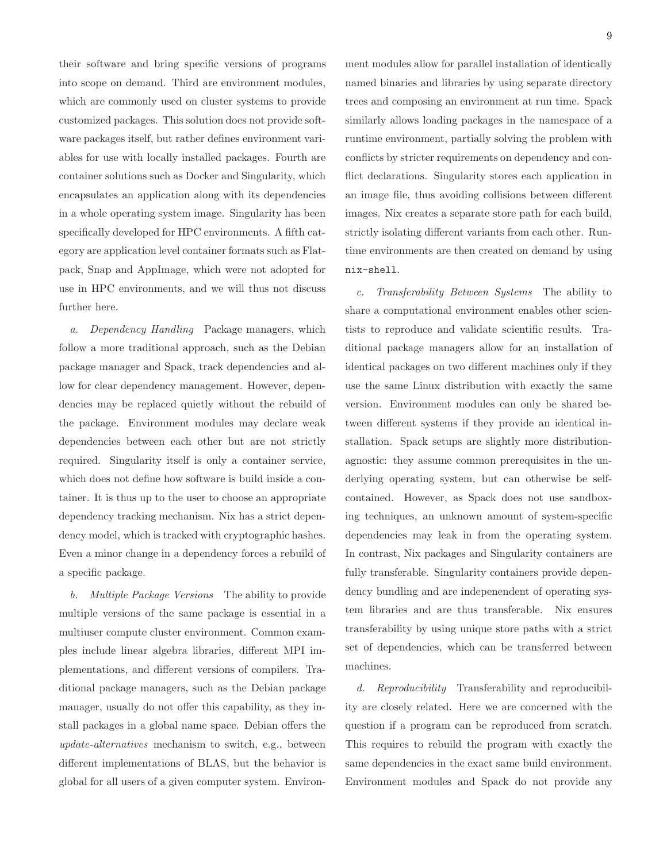their software and bring specific versions of programs into scope on demand. Third are environment modules, which are commonly used on cluster systems to provide customized packages. This solution does not provide software packages itself, but rather defines environment variables for use with locally installed packages. Fourth are container solutions such as Docker and Singularity, which encapsulates an application along with its dependencies in a whole operating system image. Singularity has been specifically developed for HPC environments. A fifth category are application level container formats such as Flatpack, Snap and AppImage, which were not adopted for use in HPC environments, and we will thus not discuss further here.

a. Dependency Handling Package managers, which follow a more traditional approach, such as the Debian package manager and Spack, track dependencies and allow for clear dependency management. However, dependencies may be replaced quietly without the rebuild of the package. Environment modules may declare weak dependencies between each other but are not strictly required. Singularity itself is only a container service, which does not define how software is build inside a container. It is thus up to the user to choose an appropriate dependency tracking mechanism. Nix has a strict dependency model, which is tracked with cryptographic hashes. Even a minor change in a dependency forces a rebuild of a specific package.

b. Multiple Package Versions The ability to provide multiple versions of the same package is essential in a multiuser compute cluster environment. Common examples include linear algebra libraries, different MPI implementations, and different versions of compilers. Traditional package managers, such as the Debian package manager, usually do not offer this capability, as they install packages in a global name space. Debian offers the update-alternatives mechanism to switch, e.g., between different implementations of BLAS, but the behavior is global for all users of a given computer system. Environment modules allow for parallel installation of identically named binaries and libraries by using separate directory trees and composing an environment at run time. Spack similarly allows loading packages in the namespace of a runtime environment, partially solving the problem with conflicts by stricter requirements on dependency and conflict declarations. Singularity stores each application in an image file, thus avoiding collisions between different images. Nix creates a separate store path for each build, strictly isolating different variants from each other. Runtime environments are then created on demand by using nix-shell.

c. Transferability Between Systems The ability to share a computational environment enables other scientists to reproduce and validate scientific results. Traditional package managers allow for an installation of identical packages on two different machines only if they use the same Linux distribution with exactly the same version. Environment modules can only be shared between different systems if they provide an identical installation. Spack setups are slightly more distributionagnostic: they assume common prerequisites in the underlying operating system, but can otherwise be selfcontained. However, as Spack does not use sandboxing techniques, an unknown amount of system-specific dependencies may leak in from the operating system. In contrast, Nix packages and Singularity containers are fully transferable. Singularity containers provide dependency bundling and are indepenendent of operating system libraries and are thus transferable. Nix ensures transferability by using unique store paths with a strict set of dependencies, which can be transferred between machines.

d. Reproducibility Transferability and reproducibility are closely related. Here we are concerned with the question if a program can be reproduced from scratch. This requires to rebuild the program with exactly the same dependencies in the exact same build environment. Environment modules and Spack do not provide any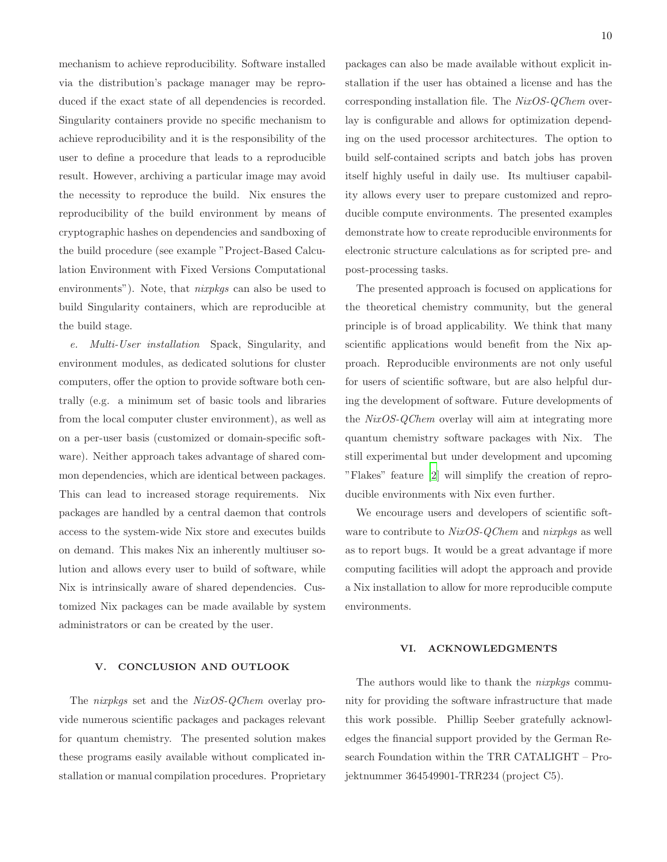mechanism to achieve reproducibility. Software installed via the distribution's package manager may be reproduced if the exact state of all dependencies is recorded. Singularity containers provide no specific mechanism to achieve reproducibility and it is the responsibility of the user to define a procedure that leads to a reproducible result. However, archiving a particular image may avoid the necessity to reproduce the build. Nix ensures the reproducibility of the build environment by means of cryptographic hashes on dependencies and sandboxing of the build procedure (see example "Project-Based Calculation Environment with Fixed Versions Computational environments"). Note, that *nixpkgs* can also be used to build Singularity containers, which are reproducible at the build stage.

e. Multi-User installation Spack, Singularity, and environment modules, as dedicated solutions for cluster computers, offer the option to provide software both centrally (e.g. a minimum set of basic tools and libraries from the local computer cluster environment), as well as on a per-user basis (customized or domain-specific software). Neither approach takes advantage of shared common dependencies, which are identical between packages. This can lead to increased storage requirements. Nix packages are handled by a central daemon that controls access to the system-wide Nix store and executes builds on demand. This makes Nix an inherently multiuser solution and allows every user to build of software, while Nix is intrinsically aware of shared dependencies. Customized Nix packages can be made available by system administrators or can be created by the user.

### V. CONCLUSION AND OUTLOOK

The *nixpkgs* set and the *NixOS-QChem* overlay provide numerous scientific packages and packages relevant for quantum chemistry. The presented solution makes these programs easily available without complicated installation or manual compilation procedures. Proprietary packages can also be made available without explicit installation if the user has obtained a license and has the corresponding installation file. The NixOS-QChem overlay is configurable and allows for optimization depending on the used processor architectures. The option to build self-contained scripts and batch jobs has proven itself highly useful in daily use. Its multiuser capability allows every user to prepare customized and reproducible compute environments. The presented examples demonstrate how to create reproducible environments for electronic structure calculations as for scripted pre- and post-processing tasks.

The presented approach is focused on applications for the theoretical chemistry community, but the general principle is of broad applicability. We think that many scientific applications would benefit from the Nix approach. Reproducible environments are not only useful for users of scientific software, but are also helpful during the development of software. Future developments of the NixOS-QChem overlay will aim at integrating more quantum chemistry software packages with Nix. The still experimental but under development and upcoming "Flakes" feature [\[2](#page-10-19)] will simplify the creation of reproducible environments with Nix even further.

We encourage users and developers of scientific software to contribute to NixOS-QChem and nixpkgs as well as to report bugs. It would be a great advantage if more computing facilities will adopt the approach and provide a Nix installation to allow for more reproducible compute environments.

### VI. ACKNOWLEDGMENTS

The authors would like to thank the *nixpkgs* community for providing the software infrastructure that made this work possible. Phillip Seeber gratefully acknowledges the financial support provided by the German Research Foundation within the TRR CATALIGHT – Projektnummer 364549901-TRR234 (project C5).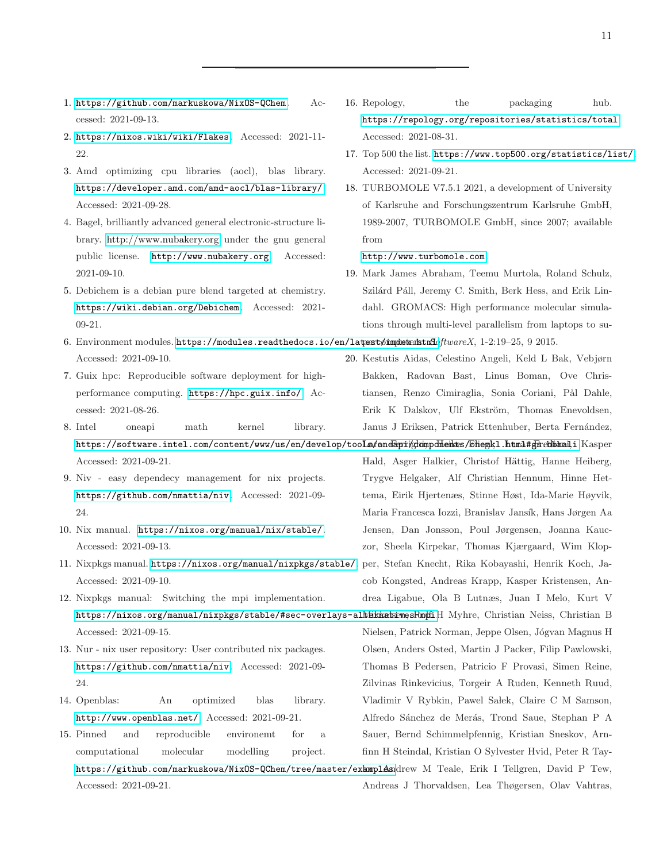- <span id="page-10-5"></span>1. <https://github.com/markuskowa/NixOS-QChem>. Accessed: 2021-09-13.
- <span id="page-10-19"></span>2. <https://nixos.wiki/wiki/Flakes>. Accessed: 2021-11-  $22.22$
- <span id="page-10-10"></span>3. Amd optimizing cpu libraries (aocl), blas library. <https://developer.amd.com/amd-aocl/blas-library/>. Accessed: 2021-09-28.
- <span id="page-10-12"></span>4. Bagel, brilliantly advanced general electronic-structure library. <http://www.nubakery.org> under the gnu general public license. <http://www.nubakery.org>. Accessed: 2021-09-10.
- <span id="page-10-11"></span>5. Debichem is a debian pure blend targeted at chemistry. <https://wiki.debian.org/Debichem>. Accessed: 2021- 09-21.
- <span id="page-10-4"></span>6. Environment modules. <https://modules.readthedocs.io/en/latest/index.html>. percomputers. *SoftwareX*, 1-2:19–25, 9 2015. Accessed: 2021-09-10.
- <span id="page-10-0"></span>7. Guix hpc: Reproducible software deployment for highperformance computing. <https://hpc.guix.info/>. Accessed: 2021-08-26.
- <span id="page-10-9"></span>8. Intel oneapi math kernel library. https://software.intel.com/content/www/us/en/develop/too**ls/oneapi/glompdients/bhemkl.html#gsebbhanli**.Kasper Accessed: 2021-09-21.
- <span id="page-10-17"></span>9. Niv - easy dependecy management for nix projects. <https://github.com/nmattia/niv>. Accessed: 2021-09- 24.
- <span id="page-10-1"></span>10. Nix manual. <https://nixos.org/manual/nix/stable/>. Accessed: 2021-09-13.
- <span id="page-10-2"></span>11. Nixpkgs manual. <https://nixos.org/manual/nixpkgs/stable/>. Accessed: 2021-09-10.
- <span id="page-10-7"></span>12. Nixpkgs manual: Switching the mpi implementation. https://nixos.org/manual/nixpkgs/stable/#sec-overlays-al<del>k/ikab.iwesRmpil</del>H Myhre, Christian Neiss, Christian B Accessed: 2021-09-15.
- <span id="page-10-16"></span>13. Nur - nix user repository: User contributed nix packages. <https://github.com/nmattia/niv>. Accessed: 2021-09- 24.
- <span id="page-10-8"></span>14. Openblas: An optimized blas library. <http://www.openblas.net/>. Accessed: 2021-09-21.
- <span id="page-10-18"></span>15. Pinned and reproducible environemt for a computational molecular modelling project. https://github.com/markuskowa/NixOS-QChem/tree/master/exhmplasudrew M Teale, Erik I Tellgren, David P Tew, Accessed: 2021-09-21.
- <span id="page-10-3"></span>16. Repology, the packaging hub. <https://repology.org/repositories/statistics/total>. Accessed: 2021-08-31.
- <span id="page-10-6"></span>17. Top 500 the list. <https://www.top500.org/statistics/list/>. Accessed: 2021-09-21.
- <span id="page-10-15"></span>18. TURBOMOLE V7.5.1 2021, a development of University of Karlsruhe and Forschungszentrum Karlsruhe GmbH, 1989-2007, TURBOMOLE GmbH, since 2007; available from
	- <http://www.turbomole.com>.
- <span id="page-10-14"></span>19. Mark James Abraham, Teemu Murtola, Roland Schulz, Szilárd Páll, Jeremy C. Smith, Berk Hess, and Erik Lindahl. GROMACS: High performance molecular simulations through multi-level parallelism from laptops to su-
- <span id="page-10-13"></span>20. Kestutis Aidas, Celestino Angeli, Keld L Bak, Vebjørn Bakken, Radovan Bast, Linus Boman, Ove Christiansen, Renzo Cimiraglia, Sonia Coriani, Pål Dahle, Erik K Dalskov, Ulf Ekström, Thomas Enevoldsen, Janus J Eriksen, Patrick Ettenhuber, Berta Fernández,

Hald, Asger Halkier, Christof Hättig, Hanne Heiberg, Trygve Helgaker, Alf Christian Hennum, Hinne Hettema, Eirik Hjertenæs, Stinne Høst, Ida-Marie Høyvik, Maria Francesca Iozzi, Branislav Jansík, Hans Jørgen Aa Jensen, Dan Jonsson, Poul Jørgensen, Joanna Kauczor, Sheela Kirpekar, Thomas Kjærgaard, Wim Klop-

per, Stefan Knecht, Rika Kobayashi, Henrik Koch, Jacob Kongsted, Andreas Krapp, Kasper Kristensen, Andrea Ligabue, Ola B Lutnæs, Juan I Melo, Kurt V

Nielsen, Patrick Norman, Jeppe Olsen, Jógvan Magnus H Olsen, Anders Osted, Martin J Packer, Filip Pawlowski, Thomas B Pedersen, Patricio F Provasi, Simen Reine, Zilvinas Rinkevicius, Torgeir A Ruden, Kenneth Ruud, Vladimir V Rybkin, Pawel Sałek, Claire C M Samson, Alfredo Sánchez de Merás, Trond Saue, Stephan P A Sauer, Bernd Schimmelpfennig, Kristian Sneskov, Arnfinn H Steindal, Kristian O Sylvester Hvid, Peter R Tay-

Andreas J Thorvaldsen, Lea Thøgersen, Olav Vahtras,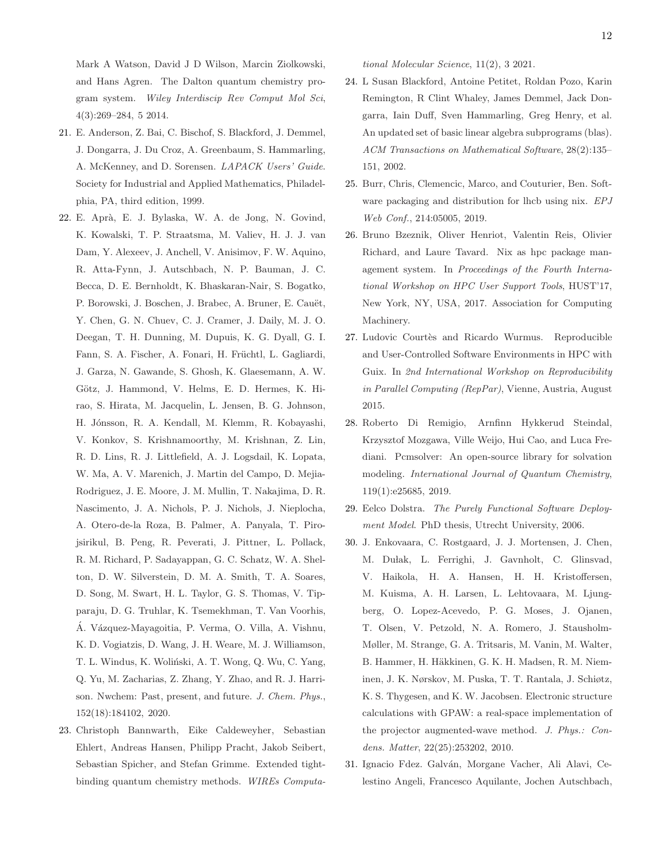Mark A Watson, David J D Wilson, Marcin Ziolkowski, and Hans Agren. The Dalton quantum chemistry program system. *Wiley Interdiscip Rev Comput Mol Sci*, 4(3):269–284, 5 2014.

- <span id="page-11-4"></span>21. E. Anderson, Z. Bai, C. Bischof, S. Blackford, J. Demmel, J. Dongarra, J. Du Croz, A. Greenbaum, S. Hammarling, A. McKenney, and D. Sorensen. *LAPACK Users' Guide*. Society for Industrial and Applied Mathematics, Philadelphia, PA, third edition, 1999.
- <span id="page-11-7"></span>22. E. Apr`a, E. J. Bylaska, W. A. de Jong, N. Govind, K. Kowalski, T. P. Straatsma, M. Valiev, H. J. J. van Dam, Y. Alexeev, J. Anchell, V. Anisimov, F. W. Aquino, R. Atta-Fynn, J. Autschbach, N. P. Bauman, J. C. Becca, D. E. Bernholdt, K. Bhaskaran-Nair, S. Bogatko, P. Borowski, J. Boschen, J. Brabec, A. Bruner, E. Cauët, Y. Chen, G. N. Chuev, C. J. Cramer, J. Daily, M. J. O. Deegan, T. H. Dunning, M. Dupuis, K. G. Dyall, G. I. Fann, S. A. Fischer, A. Fonari, H. Früchtl, L. Gagliardi, J. Garza, N. Gawande, S. Ghosh, K. Glaesemann, A. W. Götz, J. Hammond, V. Helms, E. D. Hermes, K. Hirao, S. Hirata, M. Jacquelin, L. Jensen, B. G. Johnson, H. Jónsson, R. A. Kendall, M. Klemm, R. Kobayashi, V. Konkov, S. Krishnamoorthy, M. Krishnan, Z. Lin, R. D. Lins, R. J. Littlefield, A. J. Logsdail, K. Lopata, W. Ma, A. V. Marenich, J. Martin del Campo, D. Mejia-Rodriguez, J. E. Moore, J. M. Mullin, T. Nakajima, D. R. Nascimento, J. A. Nichols, P. J. Nichols, J. Nieplocha, A. Otero-de-la Roza, B. Palmer, A. Panyala, T. Pirojsirikul, B. Peng, R. Peverati, J. Pittner, L. Pollack, R. M. Richard, P. Sadayappan, G. C. Schatz, W. A. Shelton, D. W. Silverstein, D. M. A. Smith, T. A. Soares, D. Song, M. Swart, H. L. Taylor, G. S. Thomas, V. Tipparaju, D. G. Truhlar, K. Tsemekhman, T. Van Voorhis, Á. Vázquez-Mayagoitia, P. Verma, O. Villa, A. Vishnu, K. D. Vogiatzis, D. Wang, J. H. Weare, M. J. Williamson, T. L. Windus, K. Woliński, A. T. Wong, Q. Wu, C. Yang, Q. Yu, M. Zacharias, Z. Zhang, Y. Zhao, and R. J. Harrison. Nwchem: Past, present, and future. *J. Chem. Phys.*, 152(18):184102, 2020.
- <span id="page-11-10"></span>23. Christoph Bannwarth, Eike Caldeweyher, Sebastian Ehlert, Andreas Hansen, Philipp Pracht, Jakob Seibert, Sebastian Spicher, and Stefan Grimme. Extended tightbinding quantum chemistry methods. *WIREs Computa-*

*tional Molecular Science*, 11(2), 3 2021.

- <span id="page-11-5"></span>24. L Susan Blackford, Antoine Petitet, Roldan Pozo, Karin Remington, R Clint Whaley, James Demmel, Jack Dongarra, Iain Duff, Sven Hammarling, Greg Henry, et al. An updated set of basic linear algebra subprograms (blas). *ACM Transactions on Mathematical Software*, 28(2):135– 151, 2002.
- <span id="page-11-3"></span>25. Burr, Chris, Clemencic, Marco, and Couturier, Ben. Software packaging and distribution for lhcb using nix. *EPJ Web Conf.*, 214:05005, 2019.
- <span id="page-11-2"></span>26. Bruno Bzeznik, Oliver Henriot, Valentin Reis, Olivier Richard, and Laure Tavard. Nix as hpc package management system. In *Proceedings of the Fourth International Workshop on HPC User Support Tools*, HUST'17, New York, NY, USA, 2017. Association for Computing Machinery.
- <span id="page-11-1"></span>27. Ludovic Courtès and Ricardo Wurmus. Reproducible and User-Controlled Software Environments in HPC with Guix. In *2nd International Workshop on Reproducibility in Parallel Computing (RepPar)*, Vienne, Austria, August 2015.
- <span id="page-11-9"></span>28. Roberto Di Remigio, Arnfinn Hykkerud Steindal, Krzysztof Mozgawa, Ville Weijo, Hui Cao, and Luca Frediani. Pcmsolver: An open-source library for solvation modeling. *International Journal of Quantum Chemistry*, 119(1):e25685, 2019.
- <span id="page-11-0"></span>29. Eelco Dolstra. *The Purely Functional Software Deployment Model*. PhD thesis, Utrecht University, 2006.
- <span id="page-11-6"></span>30. J. Enkovaara, C. Rostgaard, J. J. Mortensen, J. Chen, M. Dułak, L. Ferrighi, J. Gavnholt, C. Glinsvad, V. Haikola, H. A. Hansen, H. H. Kristoffersen, M. Kuisma, A. H. Larsen, L. Lehtovaara, M. Ljungberg, O. Lopez-Acevedo, P. G. Moses, J. Ojanen, T. Olsen, V. Petzold, N. A. Romero, J. Stausholm-Møller, M. Strange, G. A. Tritsaris, M. Vanin, M. Walter, B. Hammer, H. Häkkinen, G. K. H. Madsen, R. M. Nieminen, J. K. Nørskov, M. Puska, T. T. Rantala, J. Schiøtz, K. S. Thygesen, and K. W. Jacobsen. Electronic structure calculations with GPAW: a real-space implementation of the projector augmented-wave method. *J. Phys.: Condens. Matter*, 22(25):253202, 2010.
- <span id="page-11-8"></span>31. Ignacio Fdez. Galván, Morgane Vacher, Ali Alavi, Celestino Angeli, Francesco Aquilante, Jochen Autschbach,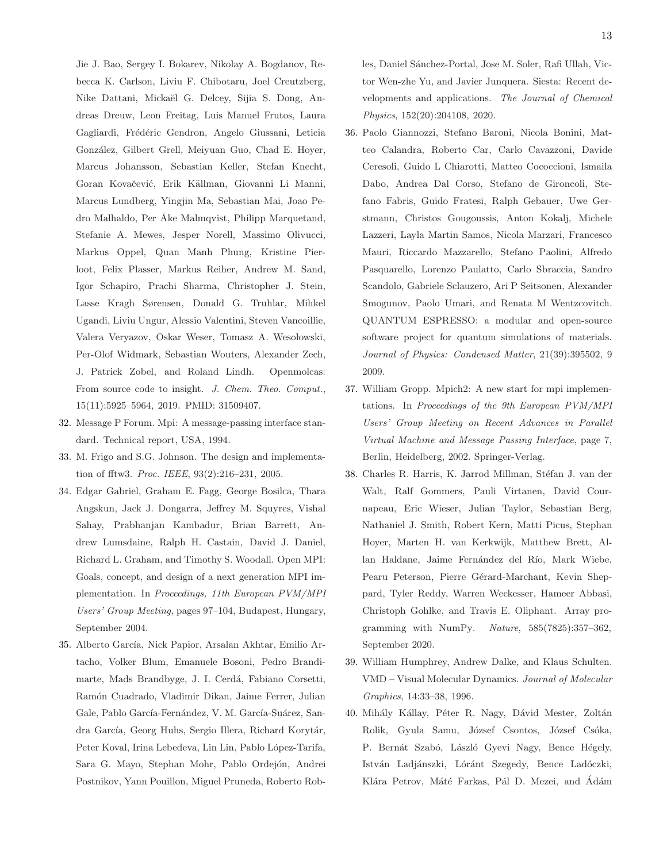Jie J. Bao, Sergey I. Bokarev, Nikolay A. Bogdanov, Rebecca K. Carlson, Liviu F. Chibotaru, Joel Creutzberg, Nike Dattani, Mickaël G. Delcey, Sijia S. Dong, Andreas Dreuw, Leon Freitag, Luis Manuel Frutos, Laura Gagliardi, Frédéric Gendron, Angelo Giussani, Leticia Gonz´alez, Gilbert Grell, Meiyuan Guo, Chad E. Hoyer, Marcus Johansson, Sebastian Keller, Stefan Knecht, Goran Kovačević, Erik Källman, Giovanni Li Manni, Marcus Lundberg, Yingjin Ma, Sebastian Mai, Joao Pedro Malhaldo, Per Åke Malmqvist, Philipp Marquetand, Stefanie A. Mewes, Jesper Norell, Massimo Olivucci, Markus Oppel, Quan Manh Phung, Kristine Pierloot, Felix Plasser, Markus Reiher, Andrew M. Sand, Igor Schapiro, Prachi Sharma, Christopher J. Stein, Lasse Kragh Sørensen, Donald G. Truhlar, Mihkel Ugandi, Liviu Ungur, Alessio Valentini, Steven Vancoillie, Valera Veryazov, Oskar Weser, Tomasz A. Wesołowski, Per-Olof Widmark, Sebastian Wouters, Alexander Zech, J. Patrick Zobel, and Roland Lindh. Openmolcas: From source code to insight. *J. Chem. Theo. Comput.*, 15(11):5925–5964, 2019. PMID: 31509407.

- <span id="page-12-2"></span>32. Message P Forum. Mpi: A message-passing interface standard. Technical report, USA, 1994.
- <span id="page-12-0"></span>33. M. Frigo and S.G. Johnson. The design and implementation of fftw3. *Proc. IEEE*, 93(2):216–231, 2005.
- <span id="page-12-3"></span>34. Edgar Gabriel, Graham E. Fagg, George Bosilca, Thara Angskun, Jack J. Dongarra, Jeffrey M. Squyres, Vishal Sahay, Prabhanjan Kambadur, Brian Barrett, Andrew Lumsdaine, Ralph H. Castain, David J. Daniel, Richard L. Graham, and Timothy S. Woodall. Open MPI: Goals, concept, and design of a next generation MPI implementation. In *Proceedings, 11th European PVM/MPI Users' Group Meeting*, pages 97–104, Budapest, Hungary, September 2004.
- <span id="page-12-7"></span>35. Alberto García, Nick Papior, Arsalan Akhtar, Emilio Artacho, Volker Blum, Emanuele Bosoni, Pedro Brandimarte, Mads Brandbyge, J. I. Cerdá, Fabiano Corsetti, Ram´on Cuadrado, Vladimir Dikan, Jaime Ferrer, Julian Gale, Pablo García-Fernández, V. M. García-Suárez, Sandra García, Georg Huhs, Sergio Illera, Richard Korytár, Peter Koval, Irina Lebedeva, Lin Lin, Pablo López-Tarifa, Sara G. Mayo, Stephan Mohr, Pablo Ordejón, Andrei Postnikov, Yann Pouillon, Miguel Pruneda, Roberto Rob-

les, Daniel Sánchez-Portal, Jose M. Soler, Rafi Ullah, Victor Wen-zhe Yu, and Javier Junquera. Siesta: Recent developments and applications. *The Journal of Chemical Physics*, 152(20):204108, 2020.

- <span id="page-12-6"></span>36. Paolo Giannozzi, Stefano Baroni, Nicola Bonini, Matteo Calandra, Roberto Car, Carlo Cavazzoni, Davide Ceresoli, Guido L Chiarotti, Matteo Cococcioni, Ismaila Dabo, Andrea Dal Corso, Stefano de Gironcoli, Stefano Fabris, Guido Fratesi, Ralph Gebauer, Uwe Gerstmann, Christos Gougoussis, Anton Kokalj, Michele Lazzeri, Layla Martin Samos, Nicola Marzari, Francesco Mauri, Riccardo Mazzarello, Stefano Paolini, Alfredo Pasquarello, Lorenzo Paulatto, Carlo Sbraccia, Sandro Scandolo, Gabriele Sclauzero, Ari P Seitsonen, Alexander Smogunov, Paolo Umari, and Renata M Wentzcovitch. QUANTUM ESPRESSO: a modular and open-source software project for quantum simulations of materials. *Journal of Physics: Condensed Matter*, 21(39):395502, 9 2009.
- <span id="page-12-4"></span>37. William Gropp. Mpich2: A new start for mpi implementations. In *Proceedings of the 9th European PVM/MPI Users' Group Meeting on Recent Advances in Parallel Virtual Machine and Message Passing Interface*, page 7, Berlin, Heidelberg, 2002. Springer-Verlag.
- <span id="page-12-1"></span>38. Charles R. Harris, K. Jarrod Millman, Stéfan J. van der Walt, Ralf Gommers, Pauli Virtanen, David Cournapeau, Eric Wieser, Julian Taylor, Sebastian Berg, Nathaniel J. Smith, Robert Kern, Matti Picus, Stephan Hoyer, Marten H. van Kerkwijk, Matthew Brett, Allan Haldane, Jaime Fernández del Río, Mark Wiebe, Pearu Peterson, Pierre Gérard-Marchant, Kevin Sheppard, Tyler Reddy, Warren Weckesser, Hameer Abbasi, Christoph Gohlke, and Travis E. Oliphant. Array programming with NumPy. *Nature*, 585(7825):357–362, September 2020.
- <span id="page-12-8"></span>39. William Humphrey, Andrew Dalke, and Klaus Schulten. VMD – Visual Molecular Dynamics. *Journal of Molecular Graphics*, 14:33–38, 1996.
- <span id="page-12-5"></span>40. Mihály Kállay, Péter R. Nagy, Dávid Mester, Zoltán Rolik, Gyula Samu, József Csontos, József Csóka, P. Bernát Szabó, László Gyevi Nagy, Bence Hégely, István Ladjánszki, Lóránt Szegedy, Bence Ladóczki, Klára Petrov, Máté Farkas, Pál D. Mezei, and Ádám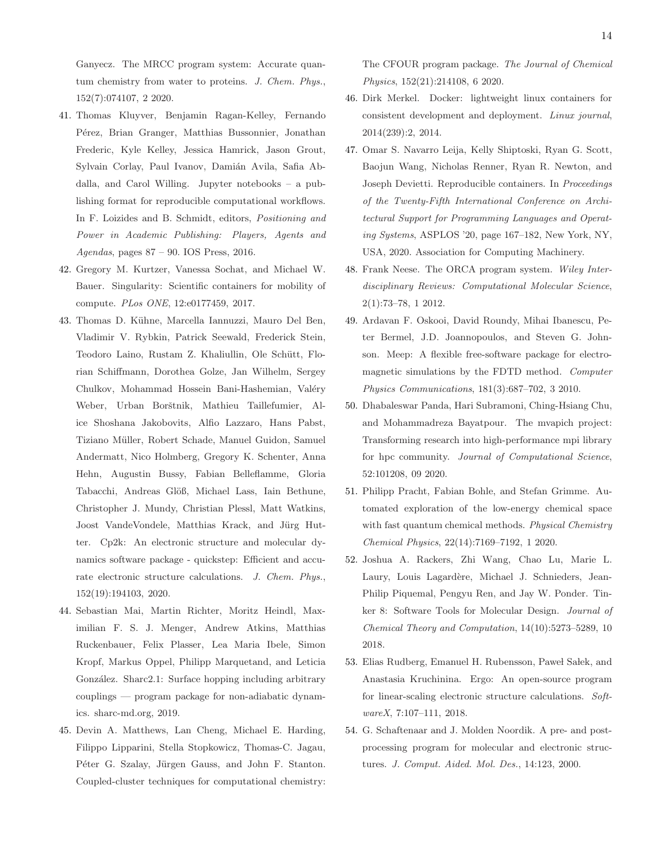Ganyecz. The MRCC program system: Accurate quantum chemistry from water to proteins. *J. Chem. Phys.*, 152(7):074107, 2 2020.

- <span id="page-13-13"></span>41. Thomas Kluyver, Benjamin Ragan-Kelley, Fernando Pérez, Brian Granger, Matthias Bussonnier, Jonathan Frederic, Kyle Kelley, Jessica Hamrick, Jason Grout, Sylvain Corlay, Paul Ivanov, Damián Avila, Safia Abdalla, and Carol Willing. Jupyter notebooks – a publishing format for reproducible computational workflows. In F. Loizides and B. Schmidt, editors, *Positioning and Power in Academic Publishing: Players, Agents and Agendas*, pages 87 – 90. IOS Press, 2016.
- <span id="page-13-2"></span>42. Gregory M. Kurtzer, Vanessa Sochat, and Michael W. Bauer. Singularity: Scientific containers for mobility of compute. *PLos ONE*, 12:e0177459, 2017.
- <span id="page-13-6"></span>43. Thomas D. Kühne, Marcella Iannuzzi, Mauro Del Ben, Vladimir V. Rybkin, Patrick Seewald, Frederick Stein, Teodoro Laino, Rustam Z. Khaliullin, Ole Schütt, Florian Schiffmann, Dorothea Golze, Jan Wilhelm, Sergey Chulkov, Mohammad Hossein Bani-Hashemian, Valéry Weber, Urban Borštnik, Mathieu Taillefumier, Alice Shoshana Jakobovits, Alfio Lazzaro, Hans Pabst, Tiziano Müller, Robert Schade, Manuel Guidon, Samuel Andermatt, Nico Holmberg, Gregory K. Schenter, Anna Hehn, Augustin Bussy, Fabian Belleflamme, Gloria Tabacchi, Andreas Glöß, Michael Lass, Iain Bethune, Christopher J. Mundy, Christian Plessl, Matt Watkins, Joost VandeVondele, Matthias Krack, and Jürg Hutter. Cp2k: An electronic structure and molecular dynamics software package - quickstep: Efficient and accurate electronic structure calculations. *J. Chem. Phys.*, 152(19):194103, 2020.
- <span id="page-13-10"></span>44. Sebastian Mai, Martin Richter, Moritz Heindl, Maximilian F. S. J. Menger, Andrew Atkins, Matthias Ruckenbauer, Felix Plasser, Lea Maria Ibele, Simon Kropf, Markus Oppel, Philipp Marquetand, and Leticia González. Sharc2.1: Surface hopping including arbitrary couplings — program package for non-adiabatic dynamics. sharc-md.org, 2019.
- <span id="page-13-3"></span>45. Devin A. Matthews, Lan Cheng, Michael E. Harding, Filippo Lipparini, Stella Stopkowicz, Thomas-C. Jagau, Péter G. Szalay, Jürgen Gauss, and John F. Stanton. Coupled-cluster techniques for computational chemistry:

The CFOUR program package. *The Journal of Chemical Physics*, 152(21):214108, 6 2020.

- <span id="page-13-1"></span>46. Dirk Merkel. Docker: lightweight linux containers for consistent development and deployment. *Linux journal*, 2014(239):2, 2014.
- <span id="page-13-0"></span>47. Omar S. Navarro Leija, Kelly Shiptoski, Ryan G. Scott, Baojun Wang, Nicholas Renner, Ryan R. Newton, and Joseph Devietti. Reproducible containers. In *Proceedings of the Twenty-Fifth International Conference on Architectural Support for Programming Languages and Operating Systems*, ASPLOS '20, page 167–182, New York, NY, USA, 2020. Association for Computing Machinery.
- <span id="page-13-4"></span>48. Frank Neese. The ORCA program system. *Wiley Interdisciplinary Reviews: Computational Molecular Science*, 2(1):73–78, 1 2012.
- <span id="page-13-12"></span>49. Ardavan F. Oskooi, David Roundy, Mihai Ibanescu, Peter Bermel, J.D. Joannopoulos, and Steven G. Johnson. Meep: A flexible free-software package for electromagnetic simulations by the FDTD method. *Computer Physics Communications*, 181(3):687–702, 3 2010.
- <span id="page-13-5"></span>50. Dhabaleswar Panda, Hari Subramoni, Ching-Hsiang Chu, and Mohammadreza Bayatpour. The mvapich project: Transforming research into high-performance mpi library for hpc community. *Journal of Computational Science*, 52:101208, 09 2020.
- <span id="page-13-7"></span>51. Philipp Pracht, Fabian Bohle, and Stefan Grimme. Automated exploration of the low-energy chemical space with fast quantum chemical methods. *Physical Chemistry Chemical Physics*, 22(14):7169–7192, 1 2020.
- <span id="page-13-11"></span>52. Joshua A. Rackers, Zhi Wang, Chao Lu, Marie L. Laury, Louis Lagardère, Michael J. Schnieders, Jean-Philip Piquemal, Pengyu Ren, and Jay W. Ponder. Tinker 8: Software Tools for Molecular Design. *Journal of Chemical Theory and Computation*, 14(10):5273–5289, 10 2018.
- <span id="page-13-8"></span>53. Elias Rudberg, Emanuel H. Rubensson, Paweł Sałek, and Anastasia Kruchinina. Ergo: An open-source program for linear-scaling electronic structure calculations. *SoftwareX*, 7:107–111, 2018.
- <span id="page-13-9"></span>54. G. Schaftenaar and J. Molden Noordik. A pre- and postprocessing program for molecular and electronic structures. *J. Comput. Aided. Mol. Des.*, 14:123, 2000.